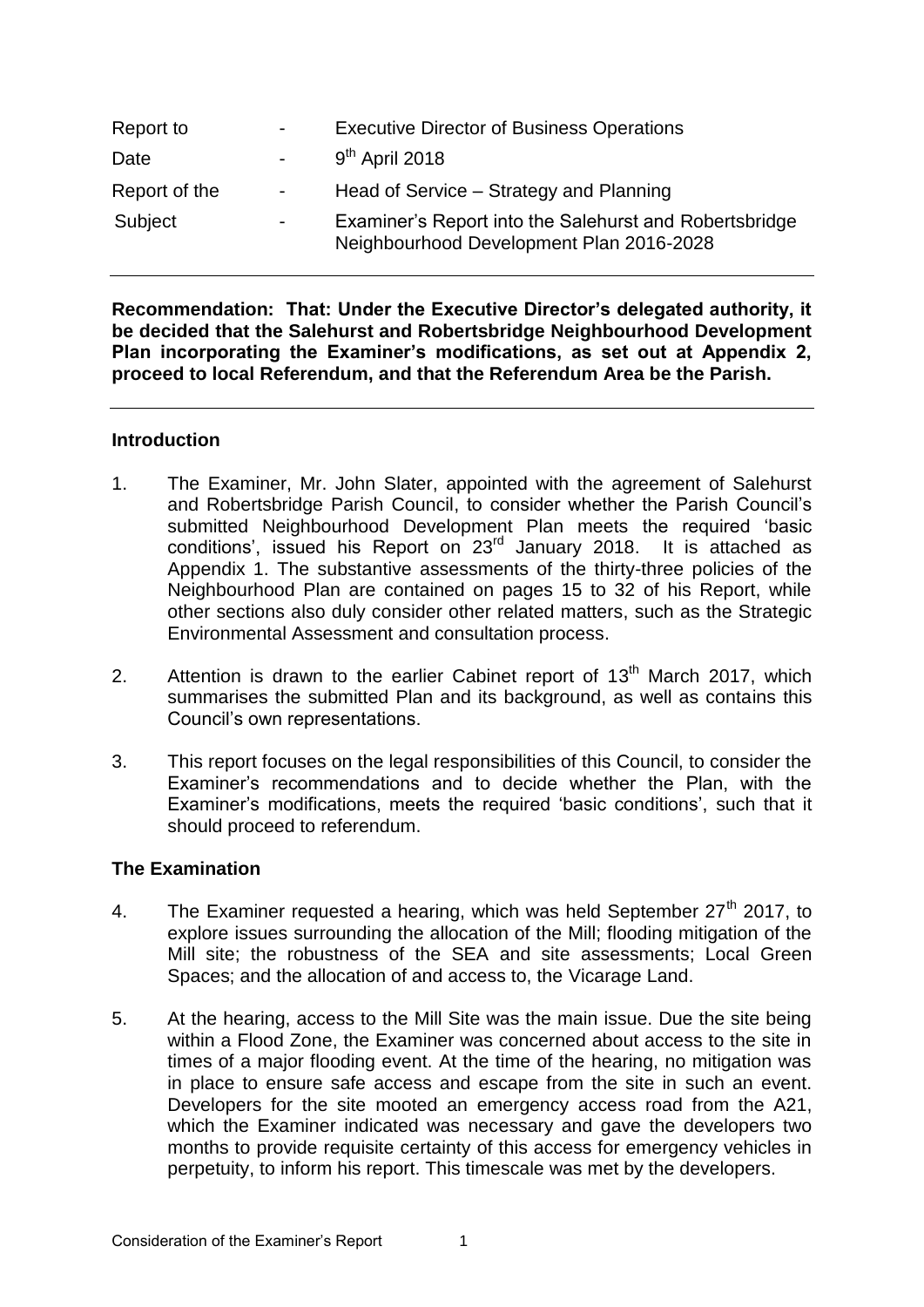| Report to     | $\blacksquare$               | <b>Executive Director of Business Operations</b>                                                   |
|---------------|------------------------------|----------------------------------------------------------------------------------------------------|
| Date          | $\sim 100$                   | $9th$ April 2018                                                                                   |
| Report of the | $\sim$ 10 $\pm$              | Head of Service - Strategy and Planning                                                            |
| Subject       | $\qquad \qquad \blacksquare$ | Examiner's Report into the Salehurst and Robertsbridge<br>Neighbourhood Development Plan 2016-2028 |

**Recommendation: That: Under the Executive Director's delegated authority, it be decided that the Salehurst and Robertsbridge Neighbourhood Development Plan incorporating the Examiner's modifications, as set out at Appendix 2, proceed to local Referendum, and that the Referendum Area be the Parish.**

## **Introduction**

- 1. The Examiner, Mr. John Slater, appointed with the agreement of Salehurst and Robertsbridge Parish Council, to consider whether the Parish Council's submitted Neighbourhood Development Plan meets the required 'basic conditions', issued his Report on  $23<sup>rd</sup>$  January 2018. It is attached as Appendix 1. The substantive assessments of the thirty-three policies of the Neighbourhood Plan are contained on pages 15 to 32 of his Report, while other sections also duly consider other related matters, such as the Strategic Environmental Assessment and consultation process.
- 2. Attention is drawn to the earlier Cabinet report of  $13<sup>th</sup>$  March 2017, which summarises the submitted Plan and its background, as well as contains this Council's own representations.
- 3. This report focuses on the legal responsibilities of this Council, to consider the Examiner's recommendations and to decide whether the Plan, with the Examiner's modifications, meets the required 'basic conditions', such that it should proceed to referendum.

### **The Examination**

- 4. The Examiner requested a hearing, which was held September  $27<sup>th</sup>$  2017, to explore issues surrounding the allocation of the Mill; flooding mitigation of the Mill site; the robustness of the SEA and site assessments; Local Green Spaces; and the allocation of and access to, the Vicarage Land.
- 5. At the hearing, access to the Mill Site was the main issue. Due the site being within a Flood Zone, the Examiner was concerned about access to the site in times of a major flooding event. At the time of the hearing, no mitigation was in place to ensure safe access and escape from the site in such an event. Developers for the site mooted an emergency access road from the A21, which the Examiner indicated was necessary and gave the developers two months to provide requisite certainty of this access for emergency vehicles in perpetuity, to inform his report. This timescale was met by the developers.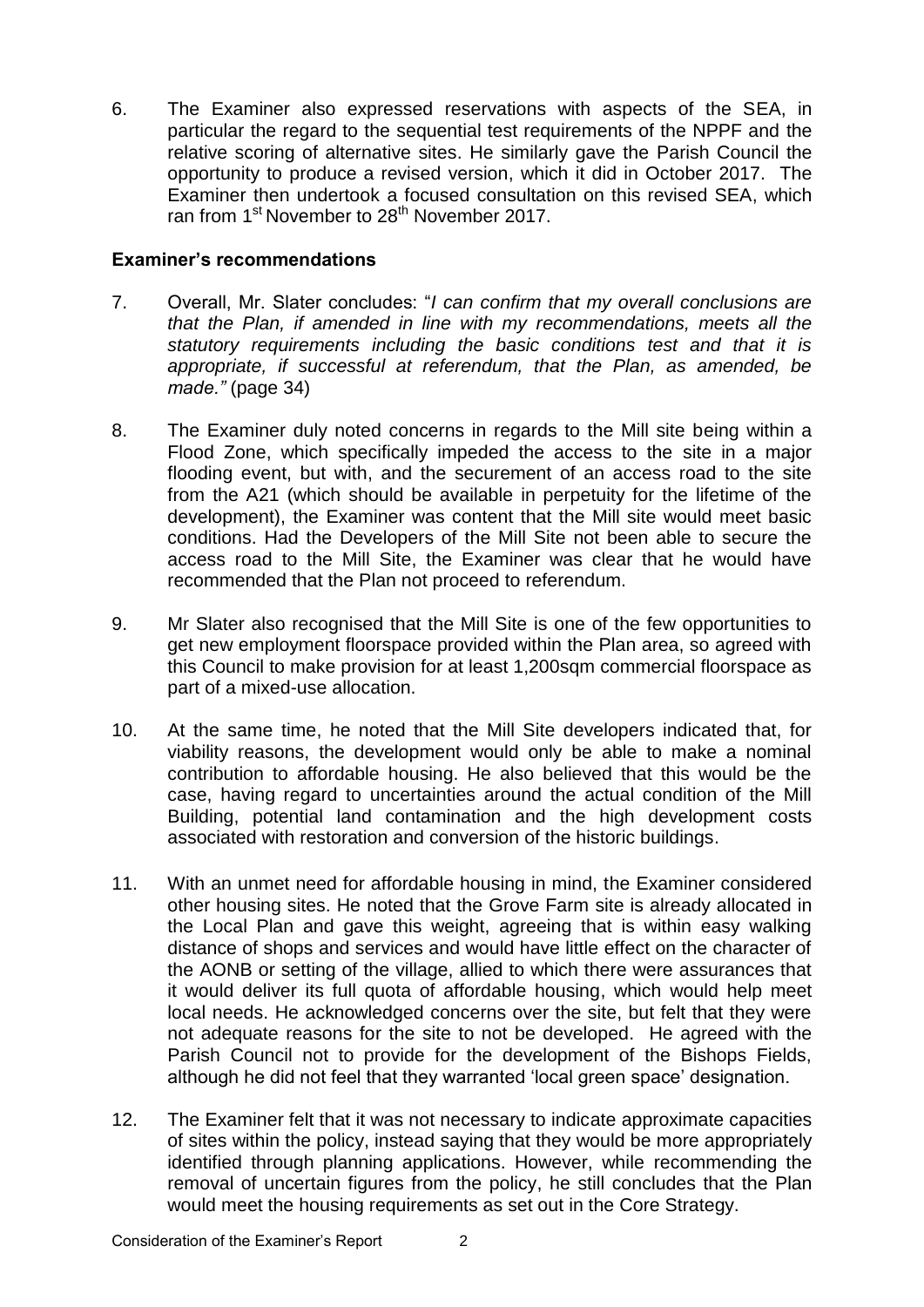6. The Examiner also expressed reservations with aspects of the SEA, in particular the regard to the sequential test requirements of the NPPF and the relative scoring of alternative sites. He similarly gave the Parish Council the opportunity to produce a revised version, which it did in October 2017. The Examiner then undertook a focused consultation on this revised SEA, which ran from 1<sup>st</sup> November to 28<sup>th</sup> November 2017.

## **Examiner's recommendations**

- 7. Overall, Mr. Slater concludes: "*I can confirm that my overall conclusions are that the Plan, if amended in line with my recommendations, meets all the statutory requirements including the basic conditions test and that it is appropriate, if successful at referendum, that the Plan, as amended, be made."* (page 34)
- 8. The Examiner duly noted concerns in regards to the Mill site being within a Flood Zone, which specifically impeded the access to the site in a major flooding event, but with, and the securement of an access road to the site from the A21 (which should be available in perpetuity for the lifetime of the development), the Examiner was content that the Mill site would meet basic conditions. Had the Developers of the Mill Site not been able to secure the access road to the Mill Site, the Examiner was clear that he would have recommended that the Plan not proceed to referendum.
- 9. Mr Slater also recognised that the Mill Site is one of the few opportunities to get new employment floorspace provided within the Plan area, so agreed with this Council to make provision for at least 1,200sqm commercial floorspace as part of a mixed-use allocation.
- 10. At the same time, he noted that the Mill Site developers indicated that, for viability reasons, the development would only be able to make a nominal contribution to affordable housing. He also believed that this would be the case, having regard to uncertainties around the actual condition of the Mill Building, potential land contamination and the high development costs associated with restoration and conversion of the historic buildings.
- 11. With an unmet need for affordable housing in mind, the Examiner considered other housing sites. He noted that the Grove Farm site is already allocated in the Local Plan and gave this weight, agreeing that is within easy walking distance of shops and services and would have little effect on the character of the AONB or setting of the village, allied to which there were assurances that it would deliver its full quota of affordable housing, which would help meet local needs. He acknowledged concerns over the site, but felt that they were not adequate reasons for the site to not be developed. He agreed with the Parish Council not to provide for the development of the Bishops Fields, although he did not feel that they warranted 'local green space' designation.
- 12. The Examiner felt that it was not necessary to indicate approximate capacities of sites within the policy, instead saying that they would be more appropriately identified through planning applications. However, while recommending the removal of uncertain figures from the policy, he still concludes that the Plan would meet the housing requirements as set out in the Core Strategy.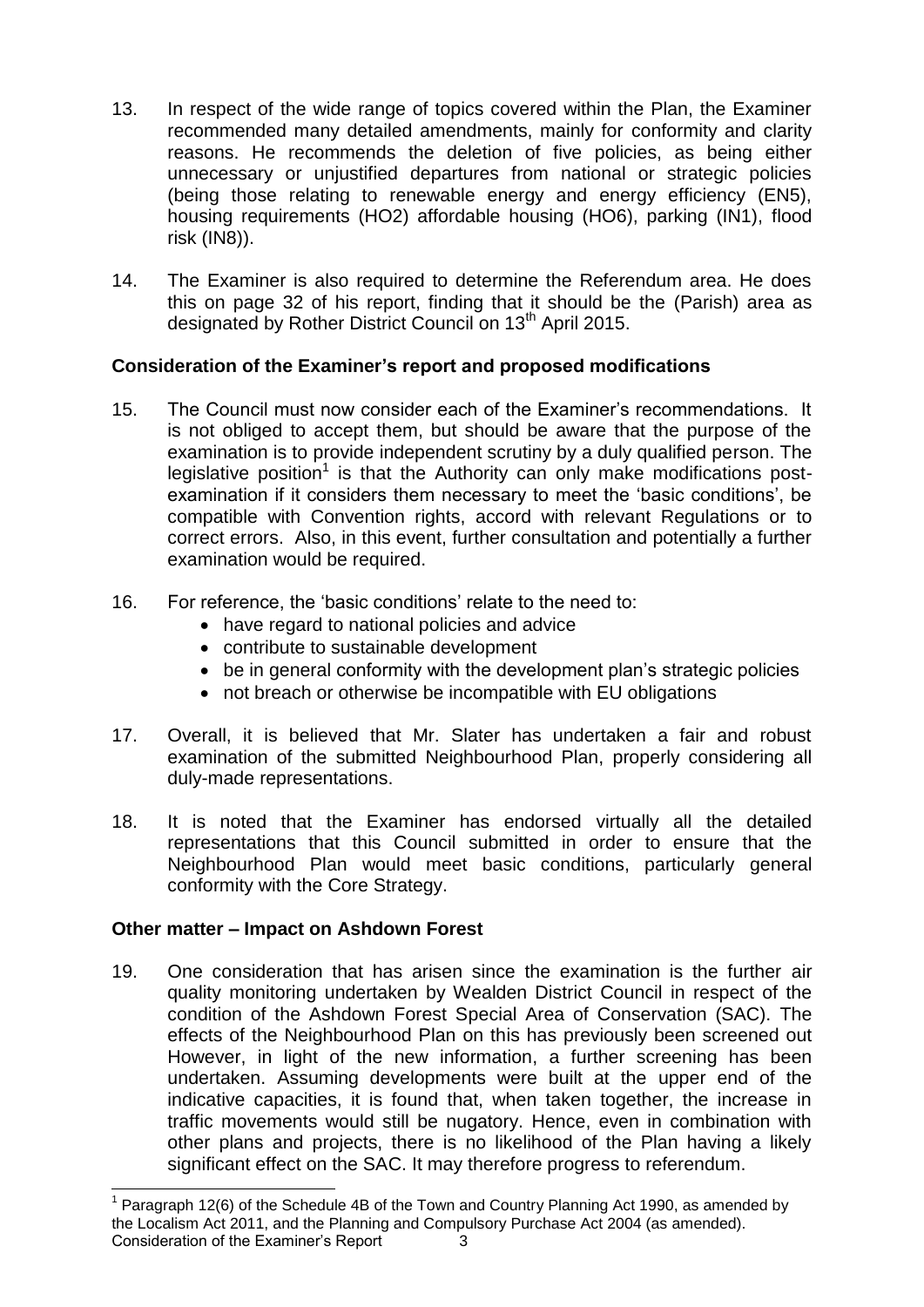- 13. In respect of the wide range of topics covered within the Plan, the Examiner recommended many detailed amendments, mainly for conformity and clarity reasons. He recommends the deletion of five policies, as being either unnecessary or unjustified departures from national or strategic policies (being those relating to renewable energy and energy efficiency (EN5), housing requirements (HO2) affordable housing (HO6), parking (IN1), flood risk (IN8)).
- 14. The Examiner is also required to determine the Referendum area. He does this on page 32 of his report, finding that it should be the (Parish) area as designated by Rother District Council on 13<sup>th</sup> April 2015.

# **Consideration of the Examiner's report and proposed modifications**

- 15. The Council must now consider each of the Examiner's recommendations. It is not obliged to accept them, but should be aware that the purpose of the examination is to provide independent scrutiny by a duly qualified person. The legislative position<sup>1</sup> is that the Authority can only make modifications postexamination if it considers them necessary to meet the 'basic conditions', be compatible with Convention rights, accord with relevant Regulations or to correct errors. Also, in this event, further consultation and potentially a further examination would be required.
- 16. For reference, the 'basic conditions' relate to the need to:
	- have regard to national policies and advice
	- contribute to sustainable development
	- be in general conformity with the development plan's strategic policies
	- not breach or otherwise be incompatible with EU obligations
- 17. Overall, it is believed that Mr. Slater has undertaken a fair and robust examination of the submitted Neighbourhood Plan, properly considering all duly-made representations.
- 18. It is noted that the Examiner has endorsed virtually all the detailed representations that this Council submitted in order to ensure that the Neighbourhood Plan would meet basic conditions, particularly general conformity with the Core Strategy.

# **Other matter – Impact on Ashdown Forest**

19. One consideration that has arisen since the examination is the further air quality monitoring undertaken by Wealden District Council in respect of the condition of the Ashdown Forest Special Area of Conservation (SAC). The effects of the Neighbourhood Plan on this has previously been screened out However, in light of the new information, a further screening has been undertaken. Assuming developments were built at the upper end of the indicative capacities, it is found that, when taken together, the increase in traffic movements would still be nugatory. Hence, even in combination with other plans and projects, there is no likelihood of the Plan having a likely significant effect on the SAC. It may therefore progress to referendum.

Consideration of the Examiner's Report 3 1 Paragraph 12(6) of the Schedule 4B of the Town and Country Planning Act 1990, as amended by the Localism Act 2011, and the Planning and Compulsory Purchase Act 2004 (as amended).